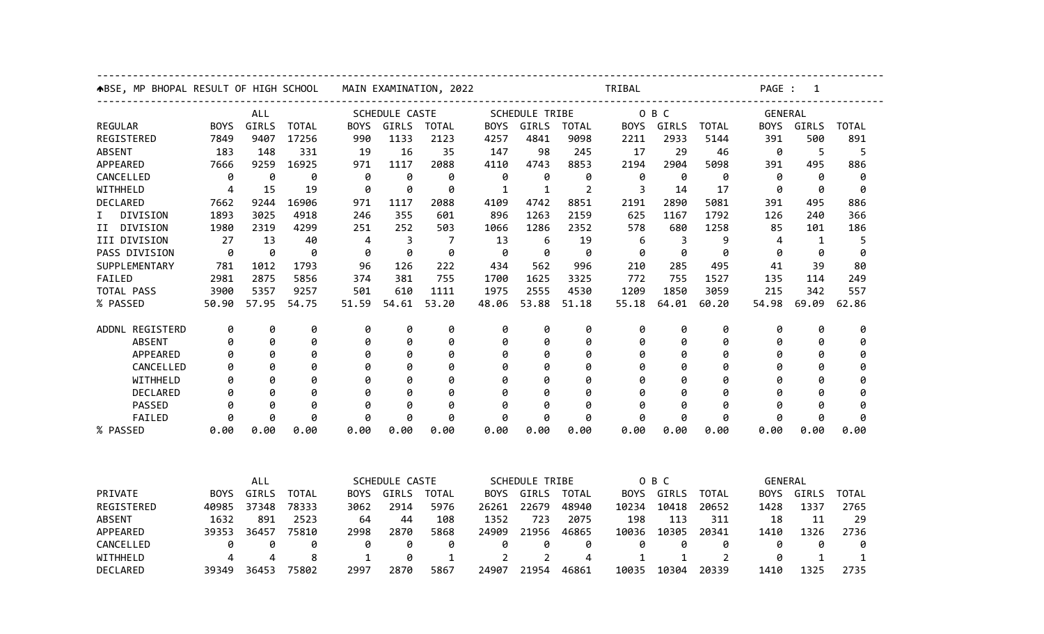|                 | <b>↑BSE, MP BHOPAL RESULT OF HIGH SCHOOL</b> |            |              | MAIN EXAMINATION, 2022 |                         |              |                | TRIBAL                |       |              |            |              | PAGE : 1    |              |              |  |
|-----------------|----------------------------------------------|------------|--------------|------------------------|-------------------------|--------------|----------------|-----------------------|-------|--------------|------------|--------------|-------------|--------------|--------------|--|
|                 | ALL                                          |            |              |                        | SCHEDULE CASTE          |              |                | <b>SCHEDULE TRIBE</b> |       |              | O B C      |              | GENERAL     |              |              |  |
| <b>REGULAR</b>  | <b>BOYS</b>                                  | GIRLS      | <b>TOTAL</b> | <b>BOYS</b>            | GIRLS                   | TOTAL        | <b>BOYS</b>    | GIRLS                 | TOTAL | <b>BOYS</b>  | GIRLS      | <b>TOTAL</b> | <b>BOYS</b> | GIRLS        | <b>TOTAL</b> |  |
| REGISTERED      | 7849                                         | 9407       | 17256        | 990                    | 1133                    | 2123         | 4257           | 4841                  | 9098  | 2211         | 2933       | 5144         | 391         | 500          | 891          |  |
| <b>ABSENT</b>   | 183                                          | 148        | 331          | 19                     | 16                      | 35           | 147            | 98                    | 245   | 17           | 29         | 46           | 0           | 5            | 5            |  |
| APPEARED        | 7666                                         | 9259       | 16925        | 971                    | 1117                    | 2088         | 4110           | 4743                  | 8853  | 2194         | 2904       | 5098         | 391         | 495          | 886          |  |
| CANCELLED       | 0                                            | 0          | 0            | 0                      | 0                       | 0            | 0              | 0                     | 0     | 0            | 0          | 0            | 0           | 0            | 0            |  |
| WITHHELD        | 4                                            | 15         | 19           | 0                      | 0                       | 0            | 1              | 1                     | 2     | 3            | 14         | 17           | 0           | 0            | 0            |  |
| DECLARED        | 7662                                         | 9244       | 16906        | 971                    | 1117                    | 2088         | 4109           | 4742                  | 8851  | 2191         | 2890       | 5081         | 391         | 495          | 886          |  |
| Ι.<br>DIVISION  | 1893                                         | 3025       | 4918         | 246                    | 355                     | 601          | 896            | 1263                  | 2159  | 625          | 1167       | 1792         | 126         | 240          | 366          |  |
| II DIVISION     | 1980                                         | 2319       | 4299         | 251                    | 252                     | 503          | 1066           | 1286                  | 2352  | 578          | 680        | 1258         | 85          | 101          | 186          |  |
| III DIVISION    | 27                                           | 13         | 40           | 4                      | $\overline{\mathbf{3}}$ | 7            | 13             | 6                     | 19    | 6            | 3          | 9            | 4           | $\mathbf{1}$ | 5            |  |
| PASS DIVISION   | 0                                            | 0          | 0            | 0                      | 0                       | 0            | 0              | 0                     | 0     | 0            | 0          | 0            | 0           | 0            | 0            |  |
| SUPPLEMENTARY   | 781                                          | 1012       | 1793         | 96                     | 126                     | 222          | 434            | 562                   | 996   | 210          | 285        | 495          | 41          | 39           | 80           |  |
| FAILED          | 2981                                         | 2875       | 5856         | 374                    | 381                     | 755          | 1700           | 1625                  | 3325  | 772          | 755        | 1527         | 135         | 114          | 249          |  |
| TOTAL PASS      | 3900                                         | 5357       | 9257         | 501                    | 610                     | 1111         | 1975           | 2555                  | 4530  | 1209         | 1850       | 3059         | 215         | 342          | 557          |  |
| % PASSED        | 50.90                                        | 57.95      | 54.75        | 51.59                  | 54.61                   | 53.20        | 48.06          | 53.88                 | 51.18 | 55.18        | 64.01      | 60.20        | 54.98       | 69.09        | 62.86        |  |
| ADDNL REGISTERD | 0                                            | 0          | 0            | 0                      | 0                       | 0            | 0              | 0                     | 0     | 0            | 0          | 0            | 0           | 0            | 0            |  |
| ABSENT          | 0                                            | 0          | 0            | 0                      | 0                       | 0            | 0              | 0                     | 0     | 0            | 0          | 0            | 0           | 0            | 0            |  |
| APPEARED        | 0                                            | 0          | 0            | 0                      | 0                       | 0            | 0              | 0                     | 0     | 0            | 0          | 0            | 0           | 0            | 0            |  |
| CANCELLED       | 0                                            | 0          | 0            | 0                      | 0                       | 0            | 0              | 0                     | 0     | 0            | 0          | 0            | 0           | Ø            | 0            |  |
| WITHHELD        | 0                                            | 0          | 0            | 0                      | 0                       | 0            | 0              | 0                     | 0     | 0            | 0          | ø            | 0           |              | 0            |  |
| DECLARED        | 0                                            | 0          | 0            | 0                      | 0                       | 0            | 0              | 0                     | 0     | 0            | 0          | ø            | 0           |              | Ø            |  |
| PASSED          | 0                                            | 0          | 0            | 0                      | 0                       | 0            | 0              | 0                     | 0     | 0            | 0          | 0            | 0           | 0            | 0            |  |
| FAILED          | 0                                            | 0          | 0            | 0                      | 0                       | 0            | 0              | 0                     | 0     | 0            | 0          | 0            | 0           | 0            | 0            |  |
| % PASSED        | 0.00                                         | 0.00       | 0.00         | 0.00                   | 0.00                    | 0.00         | 0.00           | 0.00                  | 0.00  | 0.00         | 0.00       | 0.00         | 0.00        | 0.00         | 0.00         |  |
|                 |                                              |            |              |                        |                         |              |                |                       |       |              |            |              |             |              |              |  |
|                 |                                              | <b>ALL</b> |              |                        | SCHEDULE CASTE          |              |                | <b>SCHEDULE TRIBE</b> |       |              | O B C      |              | GENERAL     |              |              |  |
| PRIVATE         | <b>BOYS</b>                                  | GIRLS      | <b>TOTAL</b> | BOYS                   | GIRLS                   | TOTAL        |                | BOYS GIRLS            | TOTAL |              | BOYS GIRLS | TOTAL        | <b>BOYS</b> | GIRLS        | <b>TOTAL</b> |  |
| REGISTERED      | 40985                                        | 37348      | 78333        | 3062                   | 2914                    | 5976         | 26261          | 22679                 | 48940 | 10234        | 10418      | 20652        | 1428        | 1337         | 2765         |  |
| <b>ABSENT</b>   | 1632                                         | 891        | 2523         | 64                     | 44                      | 108          | 1352           | 723                   | 2075  | 198          | 113        | 311          | 18          | 11           | 29           |  |
| APPEARED        | 39353                                        | 36457      | 75810        | 2998                   | 2870                    | 5868         | 24909          | 21956                 | 46865 | 10036        | 10305      | 20341        | 1410        | 1326         | 2736         |  |
| CANCELLED       | 0                                            | 0          | 0            | 0                      | 0                       | 0            | 0              | 0                     | 0     | 0            | 0          | 0            | 0           | 0            | 0            |  |
| WITHHELD        | 4                                            | 4          | 8            | $\mathbf{1}$           | 0                       | $\mathbf{1}$ | $\overline{2}$ | $\overline{2}$        | 4     | $\mathbf{1}$ | 1          | 2            | 0           | $\mathbf{1}$ | 1            |  |
| DECLARED        | 39349                                        | 36453      | 75802        | 2997                   | 2870                    | 5867         | 24907          | 21954                 | 46861 | 10035        | 10304      | 20339        | 1410        | 1325         | 2735         |  |